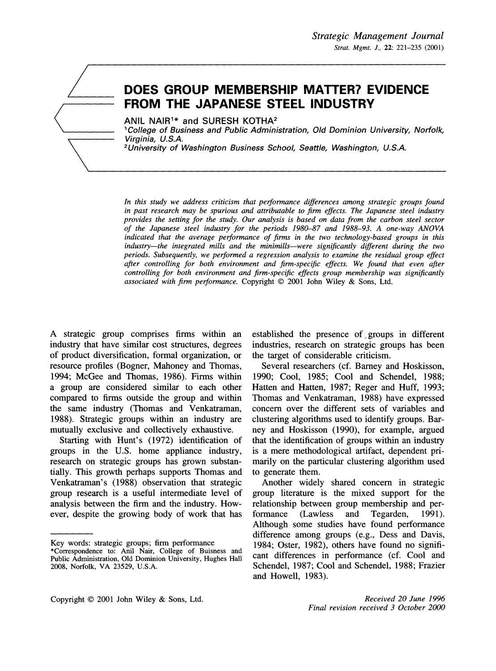# **DOES GROUP MEMBERSHIP MATTER? EVIDENCE FROM THE JAPANESE STEEL INDUSTRY**

**ANIL NAIR1\* and SURESH KOTHA2** 

**College of Business and Public Administration, Old Dominion University, Norfolk, Virginia, U.S.A.** 

**2University of Washington Business School, Seattle, Washington, U.S.A.** 

**In this study we address criticism that performance differences among strategic groups found in past research may be spurious and attributable to firm effects. The Japanese steel industry provides the setting for the study. Our analysis is based on data from the carbon steel sector of the Japanese steel industry for the periods 1980-87 and 1988-93. A one-way ANOVA indicated that the average performance of firms in the two technology-based groups in this**  industry—the integrated mills and the minimills—were significantly different during the two **periods. Subsequently, we performed a regression analysis to examine the residual group effect after controlling for both environment and firm-specific effects. We found that even after controlling for both environment and firm-specific effects group membership was significantly**  associated with firm performance. Copyright © 2001 John Wiley & Sons, Ltd.

**A strategic group comprises firms within an industry that have similar cost structures, degrees of product diversification, formal organization, or resource profiles (Bogner, Mahoney and Thomas, 1994; McGee and Thomas, 1986). Firms within a group are considered similar to each other compared to firms outside the group and within the same industry (Thomas and Venkatraman, 1988). Strategic groups within an industry are mutually exclusive and collectively exhaustive.** 

**f** 

**I** 

**Starting with Hunt's (1972) identification of groups in the U.S. home appliance industry, research on strategic groups has grown substantially. This growth perhaps supports Thomas and Venkatraman's (1988) observation that strategic group research is a useful intermediate level of analysis between the firm and the industry. However, despite the growing body of work that has** 

**Key words: strategic groups; firm performance** 

**established the presence of groups in different industries, research on strategic groups has been the target of considerable criticism.** 

**Several researchers (cf. Barney and Hoskisson, 1990; Cool, 1985; Cool and Schendel, 1988; Hatten and Hatten, 1987; Reger and Huff, 1993; Thomas and Venkatraman, 1988) have expressed concern over the different sets of variables and clustering algorithms used to identify groups. Barney and Hoskisson (1990), for example, argued that the identification of groups within an industry is a mere methodological artifact, dependent primarily on the particular clustering algorithm used to generate them.** 

**Another widely shared concern in strategic group literature is the mixed support for the relationship between group membership and performance (Lawless and Tegarden, 1991). Although some studies have found performance difference among groups (e.g., Dess and Davis, 1984; Oster, 1982), others have found no significant differences in performance (cf. Cool and Schendel, 1987; Cool and Schendel, 1988; Frazier and Howell, 1983).** 

**<sup>\*</sup>Correspondence to: Anil Nair, College of Buisness and Public Administration, Old Dominion University, Hughes Hall 2008, Norfolk, VA 23529, U.S.A.**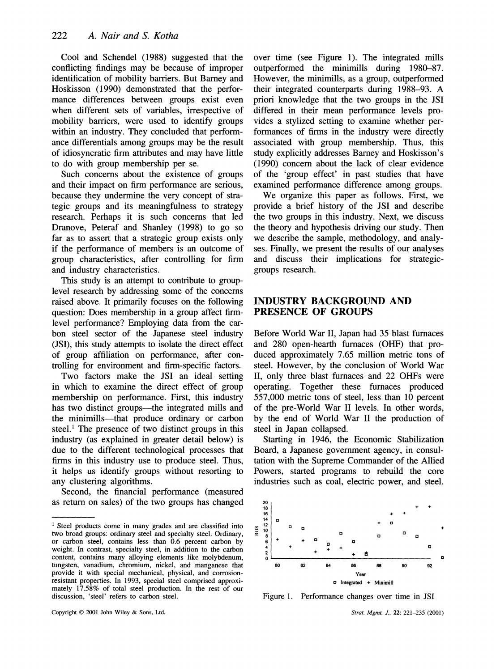**Cool and Schendel (1988) suggested that the conflicting findings may be because of improper identification of mobility barriers. But Barney and Hoskisson (1990) demonstrated that the performance differences between groups exist even when different sets of variables, irrespective of mobility barriers, were used to identify groups within an industry. They concluded that performance differentials among groups may be the result of idiosyncratic firm attributes and may have little to do with group membership per se.** 

**Such concerns about the existence of groups and their impact on firm performance are serious, because they undermine the very concept of strategic groups and its meaningfulness to strategy research. Perhaps it is such concerns that led Dranove, Peteraf and Shanley (1998) to go so far as to assert that a strategic group exists only if the performance of members is an outcome of group characteristics, after controlling for firm and industry characteristics.** 

**This study is an attempt to contribute to grouplevel research by addressing some of the concerns raised above. It primarily focuses on the following question: Does membership in a group affect firmlevel performance? Employing data from the carbon steel sector of the Japanese steel industry (JSI), this study attempts to isolate the direct effect of group affiliation on performance, after controlling for environment and firm-specific factors.** 

**Two factors make the JSI an ideal setting in which to examine the direct effect of group membership on performance. First, this industry**  has two distinct groups—the integrated mills and **the minimills-that produce ordinary or carbon steel.1 The presence of two distinct groups in this industry (as explained in greater detail below) is due to the different technological processes that firms in this industry use to produce steel. Thus, it helps us identify groups without resorting to any clustering algorithms.** 

**Second, the financial performance (measured as return on sales) of the two groups has changed**  **over time (see Figure 1). The integrated mills outperformed the minimills during 1980-87. However, the minimills, as a group, outperformed their integrated counterparts during 1988-93. A priori knowledge that the two groups in the JSI differed in their mean performance levels provides a stylized setting to examine whether performances of firms in the industry were directly associated with group membership. Thus, this study explicitly addresses Barney and Hoskisson's (1990) concern about the lack of clear evidence of the 'group effect' in past studies that have examined performance difference among groups.** 

**We organize this paper as follows. First, we provide a brief history of the JSI and describe the two groups in this industry. Next, we discuss the theory and hypothesis driving our study. Then we describe the sample, methodology, and analyses. Finally, we present the results of our analyses and discuss their implications for strategicgroups research.** 

# **INDUSTRY BACKGROUND AND PRESENCE OF GROUPS**

**Before World War II, Japan had 35 blast furnaces and 280 open-hearth furnaces (OHF) that produced approximately 7.65 million metric tons of steel. However, by the conclusion of World War II, only three blast furnaces and 22 OHFs were operating. Together these furnaces produced 557,000 metric tons of steel, less than 10 percent of the pre-World War II levels. In other words, by the end of World War II the production of steel in Japan collapsed.** 

**Starting in 1946, the Economic Stabilization Board, a Japanese government agency, in consultation with the Supreme Commander of the Allied Powers, started programs to rebuild the core industries such as coal, electric power, and steel.** 



**Figure 1. Performance changes over time in JSI** 

**<sup>1</sup>Steel products come in many grades and are classified into two broad groups: ordinary steel and specialty steel. Ordinary, or carbon steel, contains less than 0.6 percent carbon by weight. In contrast, specialty steel, in addition to the carbon content, contains many alloying elements like molybdenum, tungsten, vanadium, chromium, nickel, and manganese that provide it with special mechanical, physical, and corrosionresistant properties. In 1993, special steel comprised approximately 17.58% of total steel production. In the rest of our discussion, 'steel' refers to carbon steel.**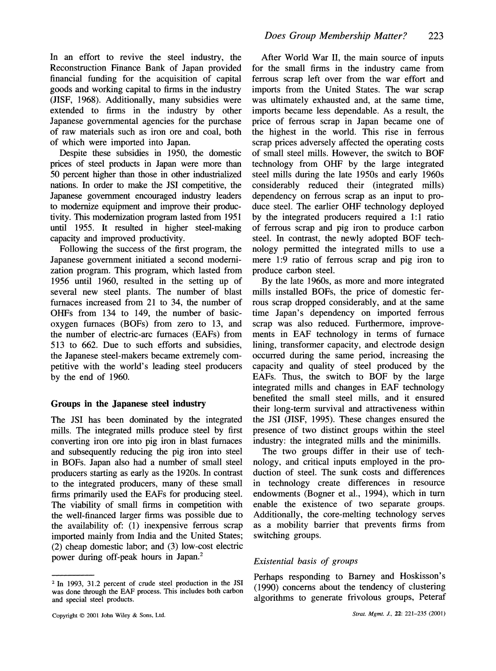**In an effort to revive the steel industry, the Reconstruction Finance Bank of Japan provided financial funding for the acquisition of capital goods and working capital to firms in the industry (JISF, 1968). Additionally, many subsidies were extended to firms in the industry by other Japanese governmental agencies for the purchase of raw materials such as iron ore and coal, both of which were imported into Japan.** 

**Despite these subsidies in 1950, the domestic prices of steel products in Japan were more than 50 percent higher than those in other industrialized nations. In order to make the JSI competitive, the Japanese government encouraged industry leaders to modernize equipment and improve their productivity. This modernization program lasted from 1951 until 1955. It resulted in higher steel-making capacity and improved productivity.** 

**Following the success of the first program, the Japanese government initiated a second modernization program. This program, which lasted from 1956 until 1960, resulted in the setting up of several new steel plants. The number of blast furnaces increased from 21 to 34, the number of OHFs from 134 to 149, the number of basicoxygen furnaces (BOFs) from zero to 13, and the number of electric-arc furnaces (EAFs) from 513 to 662. Due to such efforts and subsidies, the Japanese steel-makers became extremely competitive with the world's leading steel producers by the end of 1960.** 

### **Groups in the Japanese steel industry**

**The JSI has been dominated by the integrated mills. The integrated mills produce steel by first converting iron ore into pig iron in blast furnaces and subsequently reducing the pig iron into steel in BOFs. Japan also had a number of small steel**  producers starting as early as the 1920s. In contrast **to the integrated producers, many of these small firms primarily used the EAFs for producing steel. The viability of small firms in competition with the well-financed larger firms was possible due to the availability of: (1) inexpensive ferrous scrap imported mainly from India and the United States; (2) cheap domestic labor; and (3) low-cost electric power during off-peak hours in Japan.2** 

**After World War II, the main source of inputs for the small firms in the industry came from ferrous scrap left over from the war effort and imports from the United States. The war scrap was ultimately exhausted and, at the same time, imports became less dependable. As a result, the price of ferrous scrap in Japan became one of the highest in the world. This rise in ferrous scrap prices adversely affected the operating costs of small steel mills. However, the switch to BOF technology from OHF by the large integrated steel mills during the late 1950s and early 1960s considerably reduced their (integrated mills) dependency on ferrous scrap as an input to produce steel. The earlier OHF technology deployed by the integrated producers required a 1:1 ratio of ferrous scrap and pig iron to produce carbon steel. In contrast, the newly adopted BOF technology permitted the integrated mills to use a mere 1:9 ratio of ferrous scrap and pig iron to produce carbon steel.** 

**By the late 1960s, as more and more integrated mills installed BOFs, the price of domestic ferrous scrap dropped considerably, and at the same time Japan's dependency on imported ferrous scrap was also reduced. Furthermore, improvements in EAF technology in terms of furnace lining, transformer capacity, and electrode design occurred during the same period, increasing the capacity and quality of steel produced by the EAFs. Thus, the switch to BOF by the large integrated mills and changes in EAF technology benefited the small steel mills, and it ensured their long-term survival and attractiveness within the JSI (JISF, 1995). These changes ensured the presence of two distinct groups within the steel industry: the integrated mills and the minimills.** 

**The two groups differ in their use of technology, and critical inputs employed in the production of steel. The sunk costs and differences in technology create differences in resource endowments (Bogner et al., 1994), which in turn enable the existence of two separate groups. Additionally, the core-melting technology serves as a mobility barrier that prevents firms from switching groups.** 

#### **Existential basis of groups**

**Perhaps responding to Barney and Hoskisson's (1990) concerns about the tendency of clustering algorithms to generate frivolous groups, Peteraf** 

**<sup>2</sup>In 1993, 31.2 percent of crude steel production in the JSI was done through the EAF process. This includes both carbon and special steel products.**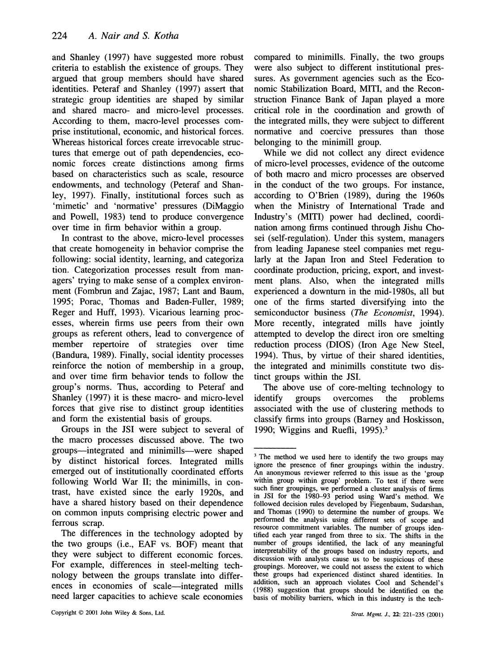**and Shanley (1997) have suggested more robust criteria to establish the existence of groups. They argued that group members should have shared identities. Peteraf and Shanley (1997) assert that strategic group identities are shaped by similar and shared macro- and micro-level processes. According to them, macro-level processes comprise institutional, economic, and historical forces. Whereas historical forces create irrevocable structures that emerge out of path dependencies, economic forces create distinctions among firms based on characteristics such as scale, resource endowments, and technology (Peteraf and Shanley, 1997). Finally, institutional forces such as 'mimetic' and 'normative' pressures (DiMaggio and Powell, 1983) tend to produce convergence over time in firm behavior within a group.** 

**In contrast to the above, micro-level processes that create homogeneity in behavior comprise the following: social identity, learning, and categoriza tion. Categorization processes result from managers' trying to make sense of a complex environment (Fombrun and Zajac, 1987; Lant and Baum, 1995; Porac, Thomas and Baden-Fuller, 1989; Reger and Huff, 1993). Vicarious learning processes, wherein firms use peers from their own groups as referent others, lead to convergence of**  member repertoire of strategies over **(Bandura, 1989). Finally, social identity processes reinforce the notion of membership in a group, and over time firm behavior tends to follow the group's norms. Thus, according to Peteraf and Shanley (1997) it is these macro- and micro-level forces that give rise to distinct group identities and form the existential basis of groups.** 

**Groups in the JSI were subject to several of the macro processes discussed above. The two groups-integrated and minimills-were shaped by distinct historical forces. Integrated mills emerged out of institutionally coordinated efforts following World War II; the minimills, in contrast, have existed since the early 1920s, and have a shared history based on their dependence on common inputs comprising electric power and ferrous scrap.** 

**The differences in the technology adopted by the two groups (i.e., EAF vs. BOF) meant that they were subject to different economic forces. For example, differences in steel-melting technology between the groups translate into differences in economies of scale-integrated mills need larger capacities to achieve scale economies** 

**compared to minimills. Finally, the two groups were also subject to different institutional pressures. As government agencies such as the Economic Stabilization Board, MITI, and the Reconstruction Finance Bank of Japan played a more critical role in the coordination and growth of the integrated mills, they were subject to different normative and coercive pressures than those belonging to the minimill group.** 

**While we did not collect any direct evidence of micro-level processes, evidence of the outcome of both macro and micro processes are observed in the conduct of the two groups. For instance, according to O'Brien (1989), during the 1960s when the Ministry of International Trade and Industry's (MITI) power had declined, coordination among firms continued through Jishu Chosei (self-regulation). Under this system, managers from leading Japanese steel companies met regularly at the Japan Iron and Steel Federation to coordinate production, pricing, export, and investment plans. Also, when the integrated mills experienced a downturn in the mid-1980s, all but one of the firms started diversifying into the semiconductor business (The Economist, 1994). More recently, integrated mills have jointly attempted to develop the direct iron ore smelting reduction process (DIOS) (Iron Age New Steel, 1994). Thus, by virtue of their shared identities, the integrated and minimills constitute two distinct groups within the JSI.** 

**The above use of core-melting technology to**   $overcomes$ **associated with the use of clustering methods to classify firms into groups (Barney and Hoskisson, 1990; Wiggins and Ruefli, 1995).3** 

**<sup>3</sup>The method we used here to identify the two groups may ignore the presence of finer groupings within the industry. An anonymous reviewer referred to this issue as the 'group within group within group' problem. To test if there were such finer groupings, we performed a cluster analysis of firms in JSI for the 1980-93 period using Ward's method. We followed decision rules developed by Fiegenbaum, Sudarshan, and Thomas (1990) to determine the number of groups. We performed the analysis using different sets of scope and resource commitment variables. The number of groups identified each year ranged from three to six. The shifts in the number of groups identified, the lack of any meaningful interpretability of the groups based on industry reports, and discussion with analysts cause us to be suspicious of these groupings. Moreover, we could not assess the extent to which these groups had experienced distinct shared identities. In addition, such an approach violates Cool and Schendel's (1988) suggestion that groups should be identified on the basis of mobility barriers, which in this industry is the tech-**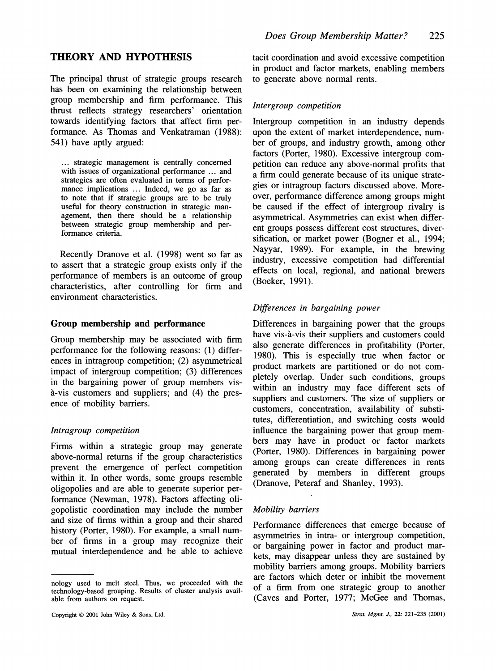# **THEORY AND HYPOTHESIS**

**The principal thrust of strategic groups research has been on examining the relationship between group membership and firm performance. This thrust reflects strategy researchers' orientation towards identifying factors that affect firm performance. As Thomas and Venkatraman (1988): 541) have aptly argued:** 

**... strategic management is centrally concerned with issues of organizational performance ... and strategies are often evaluated in terms of performance implications ... Indeed, we go as far as to note that if strategic groups are to be truly useful for theory construction in strategic management, then there should be a relationship between strategic group membership and performance criteria.** 

**Recently Dranove et al. (1998) went so far as to assert that a strategic group exists only if the performance of members is an outcome of group characteristics, after controlling for firm and environment characteristics.** 

### **Group membership and performance**

**Group membership may be associated with firm performance for the following reasons: (1) differences in intragroup competition; (2) asymmetrical impact of intergroup competition; (3) differences in the bargaining power of group members visa-vis customers and suppliers; and (4) the presence of mobility barriers.** 

#### **Intragroup competition**

**Firms within a strategic group may generate above-normal returns if the group characteristics prevent the emergence of perfect competition within it. In other words, some groups resemble oligopolies and are able to generate superior performance (Newman, 1978). Factors affecting oligopolistic coordination may include the number and size of firms within a group and their shared history (Porter, 1980). For example, a small number of firms in a group may recognize their mutual interdependence and be able to achieve** 

**tacit coordination and avoid excessive competition in product and factor markets, enabling members to generate above normal rents.** 

#### **Intergroup competition**

**Intergroup competition in an industry depends upon the extent of market interdependence, number of groups, and industry growth, among other factors (Porter, 1980). Excessive intergroup competition can reduce any above-normal profits that a firm could generate because of its unique strategies or intragroup factors discussed above. Moreover, performance difference among groups might be caused if the effect of intergroup rivalry is asymmetrical. Asymmetries can exist when different groups possess different cost structures, diversification, or market power (Bogner et al., 1994; Nayyar, 1989). For example, in the brewing industry, excessive competition had differential effects on local, regional, and national brewers (Boeker, 1991).** 

### **Differences in bargaining power**

**Differences in bargaining power that the groups have vis-a-vis their suppliers and customers could also generate differences in profitability (Porter, 1980). This is especially true when factor or product markets are partitioned or do not completely overlap. Under such conditions, groups within an industry may face different sets of suppliers and customers. The size of suppliers or customers, concentration, availability of substitutes, differentiation, and switching costs would influence the bargaining power that group members may have in product or factor markets (Porter, 1980). Differences in bargaining power among groups can create differences in rents generated by members in different groups (Dranove, Peteraf and Shanley, 1993).** 

#### **Mobility barriers**

**Performance differences that emerge because of asymmetries in intra- or intergroup competition, or bargaining power in factor and product markets, may disappear unless they are sustained by mobility barriers among groups. Mobility barriers are factors which deter or inhibit the movement of a firm from one strategic group to another (Caves and Porter, 1977; McGee and Thomas,** 

**nology used to melt steel. Thus, we proceeded with the technology-based grouping. Results of cluster analysis available from authors on request.**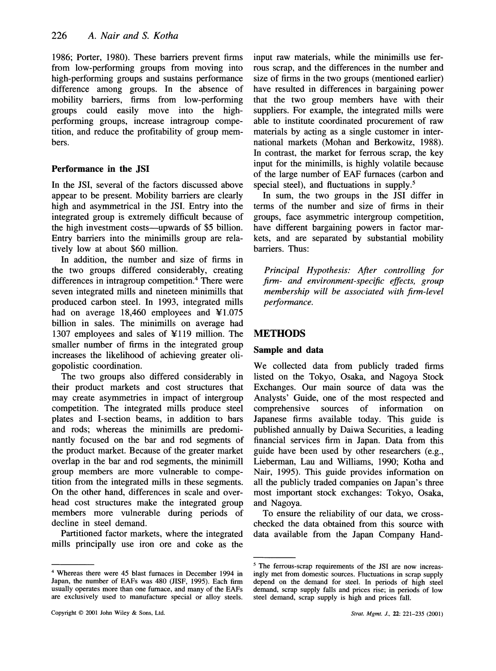**1986; Porter, 1980). These barriers prevent firms from low-performing groups from moving into high-performing groups and sustains performance difference among groups. In the absence of mobility barriers, firms from low-performing groups could easily move into the highperforming groups, increase intragroup competition, and reduce the profitability of group members.** 

# **Performance in the JSI**

**In the JSI, several of the factors discussed above appear to be present. Mobility barriers are clearly high and asymmetrical in the JSI. Entry into the integrated group is extremely difficult because of the high investment costs-upwards of \$5 billion. Entry barriers into the minimills group are relatively low at about \$60 million.** 

**In addition, the number and size of firms in the two groups differed considerably, creating differences in intragroup competition.4 There were seven integrated mills and nineteen minimills that produced carbon steel. In 1993, integrated mills**  had on average 18,460 employees and ¥1.075 **billion in sales. The minimills on average had 1307 employees and sales of Y119 million. The smaller number of firms in the integrated group increases the likelihood of achieving greater oligopolistic coordination.** 

**The two groups also differed considerably in their product markets and cost structures that may create asymmetries in impact of intergroup competition. The integrated mills produce steel plates and I-section beams, in addition to bars and rods; whereas the minimills are predominantly focused on the bar and rod segments of the product market. Because of the greater market overlap in the bar and rod segments, the minimill group members are more vulnerable to competition from the integrated mills in these segments. On the other hand, differences in scale and overhead cost structures make the integrated group members more vulnerable during periods of decline in steel demand.** 

**Partitioned factor markets, where the integrated mills principally use iron ore and coke as the** 

**input raw materials, while the minimills use ferrous scrap, and the differences in the number and size of firms in the two groups (mentioned earlier) have resulted in differences in bargaining power that the two group members have with their suppliers. For example, the integrated mills were able to institute coordinated procurement of raw materials by acting as a single customer in international markets (Mohan and Berkowitz, 1988). In contrast, the market for ferrous scrap, the key input for the minimills, is highly volatile because of the large number of EAF furnaces (carbon and special steel), and fluctuations in supply.5** 

**In sum, the two groups in the JSI differ in terms of the number and size of firms in their groups, face asymmetric intergroup competition, have different bargaining powers in factor markets, and are separated by substantial mobility barriers. Thus:** 

**Principal Hypothesis: After controlling for firn- and environment-specific effects, group membership will be associated with firm-level performance.** 

# **METHODS**

# **Sample and data**

**We collected data from publicly traded firms listed on the Tokyo, Osaka, and Nagoya Stock Exchanges. Our main source of data was the Analysts' Guide, one of the most respected and**  comprehensive **Japanese firms available today. This guide is published annually by Daiwa Securities, a leading financial services firm in Japan. Data from this guide have been used by other researchers (e.g., Lieberman, Lau and Williams, 1990; Kotha and Nair, 1995). This guide provides information on all the publicly traded companies on Japan's three most important stock exchanges: Tokyo, Osaka, and Nagoya.** 

**To ensure the reliability of our data, we crosschecked the data obtained from this source with data available from the Japan Company Hand-**

**<sup>4</sup>Whereas there were 45 blast furnaces in December 1994 in Japan, the number of EAFs was 480 (JISF, 1995). Each firm usually operates more than one furnace, and many of the EAFs are exclusively used to manufacture special or alloy steels.** 

**<sup>5</sup> The ferrous-scrap requirements of the JSI are now increasingly met from domestic sources. Fluctuations in scrap supply depend on the demand for steel. In periods of high steel demand, scrap supply falls and prices rise; in periods of low steel demand, scrap supply is high and prices fall.**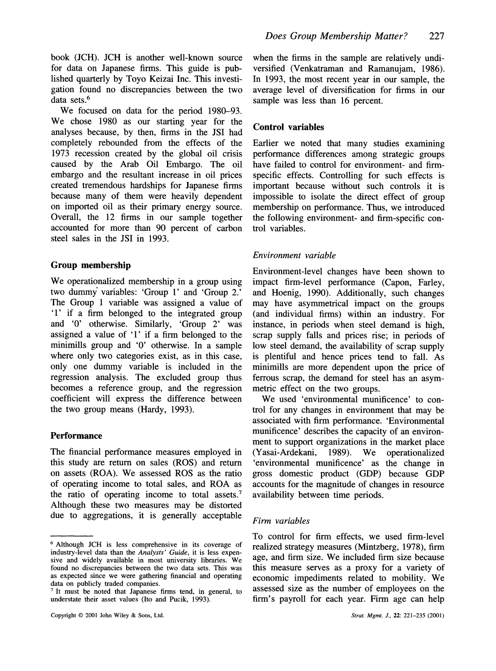**book (JCH). JCH is another well-known source for data on Japanese firms. This guide is published quarterly by Toyo Keizai Inc. This investigation found no discrepancies between the two data sets.6** 

**We focused on data for the period 1980-93. We chose 1980 as our starting year for the analyses because, by then, firms in the JSI had completely rebounded from the effects of the 1973 recession created by the global oil crisis caused by the Arab Oil Embargo. The oil embargo and the resultant increase in oil prices created tremendous hardships for Japanese firms because many of them were heavily dependent on imported oil as their primary energy source. Overall, the 12 firms in our sample together accounted for more than 90 percent of carbon steel sales in the JSI in 1993.** 

### **Group membership**

**We operationalized membership in a group using two dummy variables: 'Group 1' and 'Group 2.' The Group 1 variable was assigned a value of '1' if a firm belonged to the integrated group and '0' otherwise. Similarly, 'Group 2' was assigned a value of '1' if a firm belonged to the minimills group and '0' otherwise. In a sample where only two categories exist, as in this case, only one dummy variable is included in the regression analysis. The excluded group thus becomes a reference group, and the regression coefficient will express the difference between the two group means (Hardy, 1993).** 

### **Performance**

**The financial performance measures employed in this study are return on sales (ROS) and return on assets (ROA). We assessed ROS as the ratio of operating income to total sales, and ROA as the ratio of operating income to total assets.7 Although these two measures may be distorted due to aggregations, it is generally acceptable**  **when the firms in the sample are relatively undiversified (Venkatraman and Ramanujam, 1986). In 1993, the most recent year in our sample, the average level of diversification for firms in our sample was less than 16 percent.** 

## **Control variables**

**Earlier we noted that many studies examining performance differences among strategic groups have failed to control for environment- and firmspecific effects. Controlling for such effects is important because without such controls it is impossible to isolate the direct effect of group membership on performance. Thus, we introduced the following environment- and firm-specific control variables.** 

## **Environment variable**

**Environment-level changes have been shown to impact firm-level performance (Capon, Farley, and Hoenig, 1990). Additionally, such changes may have asymmetrical impact on the groups (and individual firms) within an industry. For instance, in periods when steel demand is high, scrap supply falls and prices rise; in periods of low steel demand, the availability of scrap supply is plentiful and hence prices tend to fall. As minimills are more dependent upon the price of ferrous scrap, the demand for steel has an asymmetric effect on the two groups.** 

**We used 'environmental munificence' to control for any changes in environment that may be associated with firm performance. 'Environmental munificence' describes the capacity of an environment to support organizations in the market place (Yasai-Ardekani, 1989). We operationalized 'environmental munificence' as the change in gross domestic product (GDP) because GDP accounts for the magnitude of changes in resource availability between time periods.** 

### **Firm variables**

**To control for firm effects, we used firm-level realized strategy measures (Mintzberg, 1978), firm age, and firm size. We included firm size because this measure serves as a proxy for a variety of economic impediments related to mobility. We assessed size as the number of employees on the firm's payroll for each year. Firm age can help** 

**<sup>6</sup>Although JCH is less comprehensive in its coverage of industry-level data than the Analysts' Guide, it is less expensive and widely available in most university libraries. We found no discrepancies between the two data sets. This was as expected since we were gathering financial and operating data on publicly traded companies.** 

**<sup>7</sup>It must be noted that Japanese firms tend, in general, to understate their asset values (Ito and Pucik, 1993).**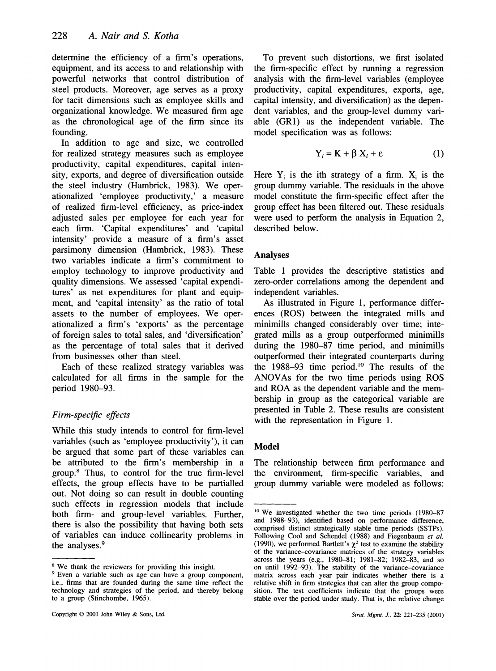**determine the efficiency of a firm's operations, equipment, and its access to and relationship with powerful networks that control distribution of steel products. Moreover, age serves as a proxy for tacit dimensions such as employee skills and organizational knowledge. We measured firm age as the chronological age of the firm since its founding.** 

**In addition to age and size, we controlled for realized strategy measures such as employee productivity, capital expenditures, capital intensity, exports, and degree of diversification outside the steel industry (Hambrick, 1983). We operationalized 'employee productivity,' a measure of realized firm-level efficiency, as price-index adjusted sales per employee for each year for each firm. 'Capital expenditures' and 'capital intensity' provide a measure of a firm's asset parsimony dimension (Hambrick, 1983). These two variables indicate a firm's commitment to employ technology to improve productivity and quality dimensions. We assessed 'capital expenditures' as net expenditures for plant and equipment, and 'capital intensity' as the ratio of total assets to the number of employees. We operationalized a firm's 'exports' as the percentage of foreign sales to total sales, and 'diversification' as the percentage of total sales that it derived from businesses other than steel.** 

**Each of these realized strategy variables was calculated for all firms in the sample for the period 1980-93.** 

# **Firm-specific effects**

**While this study intends to control for firm-level variables (such as 'employee productivity'), it can be argued that some part of these variables can be attributed to the firm's membership in a group.8 Thus, to control for the true firm-level effects, the group effects have to be partialled out. Not doing so can result in double counting such effects in regression models that include both firm- and group-level variables. Further, there is also the possibility that having both sets of variables can induce collinearity problems in the analyses.9** 

**To prevent such distortions, we first isolated the firm-specific effect by running a regression analysis with the firm-level variables (employee productivity, capital expenditures, exports, age, capital intensity, and diversification) as the dependent variables, and the group-level dummy variable (GR1) as the independent variable. The model specification was as follows:** 

$$
Y_i = K + \beta X_i + \varepsilon \tag{1}
$$

Here  $Y_i$  is the ith strategy of a firm.  $X_i$  is the **group dummy variable. The residuals in the above model constitute the firm-specific effect after the group effect has been filtered out. These residuals were used to perform the analysis in Equation 2, described below.** 

## **Analyses**

**Table 1 provides the descriptive statistics and zero-order correlations among the dependent and independent variables.** 

**As illustrated in Figure 1, performance differences (ROS) between the integrated mills and minimills changed considerably over time; integrated mills as a group outperformed minimills during the 1980-87 time period, and minimills outperformed their integrated counterparts during the 1988-93 time period.10 The results of the ANOVAs for the two time periods using ROS and ROA as the dependent variable and the membership in group as the categorical variable are presented in Table 2. These results are consistent with the representation in Figure 1.** 

### **Model**

**The relationship between firm performance and**  the environment, firm-specific variables, **group dummy variable were modeled as follows:** 

**<sup>8</sup>We thank the reviewers for providing this insight. 9 Even a variable such as age can have a group component, i.e., firms that are founded during the same time reflect the technology and strategies of the period, and thereby belong to a group (Stinchombe, 1965).** 

**<sup>10</sup> We investigated whether the two time periods (1980-87 and 1988-93), identified based on performance difference, comprised distinct strategically stable time periods (SSTPs).**  Following Cool and Schendel (1988) and Fiegenbaum et al. (1990), we performed Bartlett's  $\chi^2$  test to examine the stability **of the variance-covariance matrices of the strategy variables across the years (e.g., 1980-81; 1981-82; 1982-83, and so on until 1992-93). The stability of the variance-covariance matrix across each year pair indicates whether there is a relative shift in firm strategies that can alter the group composition. The test coefficients indicate that the groups were stable over the period under study. That is, the relative change**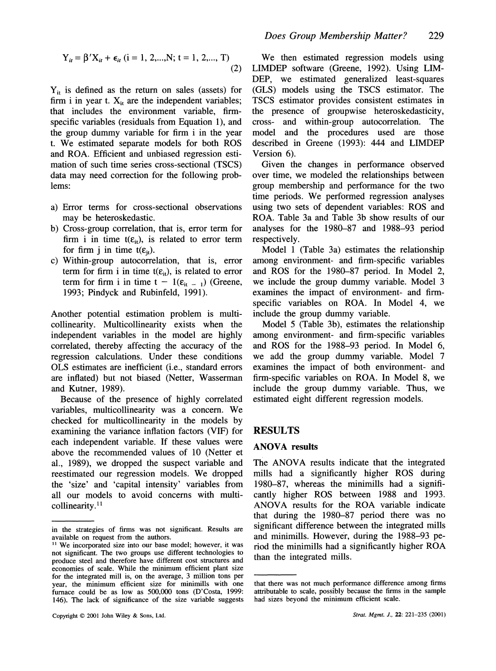$$
Y_{it} = \beta' X_{it} + \epsilon_{it} \ (i = 1, 2, ..., N; \ t = 1, 2, ..., T)
$$
\n(2)

**Yit is defined as the return on sales (assets) for**  firm i in year t.  $X_{it}$  are the independent variables; **that includes the environment variable, firmspecific variables (residuals from Equation 1), and the group dummy variable for firm i in the year t. We estimated separate models for both ROS and ROA. Efficient and unbiased regression estimation of such time series cross-sectional (TSCS) data may need correction for the following problems:** 

- **a) Error terms for cross-sectional observations may be heteroskedastic.**
- **b) Cross-group correlation, that is, error term for**  firm i in time  $t(\varepsilon_{it})$ , is related to error term for firm *j* in time  $t(\varepsilon_{it})$ .
- **c) Within-group autocorrelation, that is, error**  term for firm i in time  $t(\varepsilon_{it})$ , is related to error **term for firm i in time t - 1(** $\varepsilon_{it}$  $\leq$  **1) (Greene, 1993; Pindyck and Rubinfeld, 1991).**

**Another potential estimation problem is multicollinearity. Multicollinearity exists when the independent variables in the model are highly correlated, thereby affecting the accuracy of the regression calculations. Under these conditions OLS estimates are inefficient (i.e., standard errors are inflated) but not biased (Netter, Wasserman and Kutner, 1989).** 

**Because of the presence of highly correlated variables, multicollinearity was a concern. We checked for multicollinearity in the models by examining the variance inflation factors (VIF) for each independent variable. If these values were above the recommended values of 10 (Netter et al., 1989), we dropped the suspect variable and reestimated our regression models. We dropped the 'size' and 'capital intensity' variables from all our models to avoid concerns with multicollinearity.11** 

**We then estimated regression models using LIMDEP software (Greene, 1992). Using LIM-DEP, we estimated generalized least-squares (GLS) models using the TSCS estimator. The TSCS estimator provides consistent estimates in the presence of groupwise heteroskedasticity, cross- and within-group autocorrelation. The model and the procedures used are those described in Greene (1993): 444 and LIMDEP Version 6).** 

**Given the changes in performance observed over time, we modeled the relationships between group membership and performance for the two time periods. We performed regression analyses using two sets of dependent variables: ROS and ROA. Table 3a and Table 3b show results of our analyses for the 1980-87 and 1988-93 period respectively.** 

**Model 1 (Table 3a) estimates the relationship among environment- and firm-specific variables and ROS for the 1980-87 period. In Model 2, we include the group dummy variable. Model 3 examines the impact of environment- and firmspecific variables on ROA. In Model 4, we include the group dummy variable.** 

**Model 5 (Table 3b), estimates the relationship among environment- and firm-specific variables and ROS for the 1988-93 period. In Model 6, we add the group dummy variable. Model 7 examines the impact of both environment- and firm-specific variables on ROA. In Model 8, we include the group dummy variable. Thus, we estimated eight different regression models.** 

### **RESULTS**

#### **ANOVA results**

**The ANOVA results indicate that the integrated mills had a significantly higher ROS during 1980-87, whereas the minimills had a significantly higher ROS between 1988 and 1993. ANOVA results for the ROA variable indicate that during the 1980-87 period there was no significant difference between the integrated mills and minimills. However, during the 1988-93 period the minimills had a significantly higher ROA than the integrated mills.** 

**in the strategies of firms was not significant. Results are available on request from the authors.** 

**<sup>11</sup> We incorporated size into our base model; however, it was not significant. The two groups use different technologies to produce steel and therefore have different cost structures and economies of scale. While the minimum efficient plant size for the integrated mill is, on the average, 3 million tons per year, the minimum efficient size for minimills with one furnace could be as low as 500,000 tons (D'Costa, 1999: 146). The lack of significance of the size variable suggests** 

**that there was not much performance difference among firms attributable to scale, possibly because the firms in the sample had sizes beyond the minimum efficient scale.**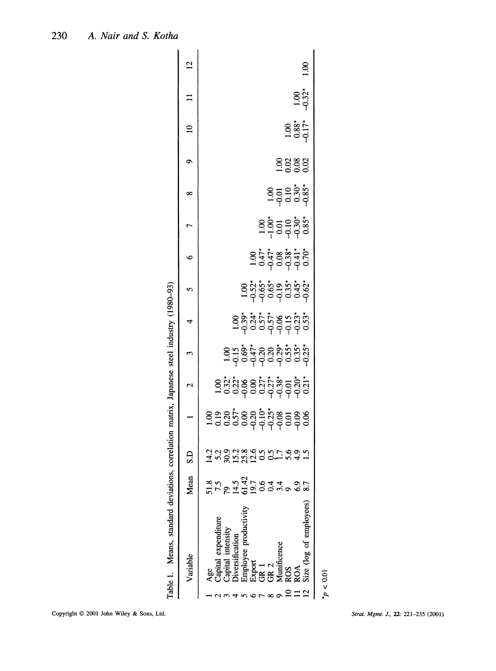230 A. Nair and S. Kotha

Copyright  $@ 2001$  John Wiley & Sons, Ltd.

Strat. Mgmt. J., 22: 221-235 (2001)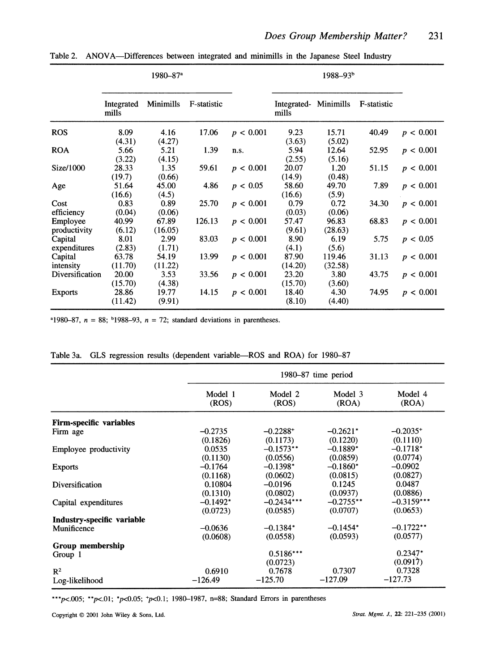|                          | $1980 - 87$ <sup>a</sup> |                  |             |           | $1988 - 93b$         |                   |                     |           |
|--------------------------|--------------------------|------------------|-------------|-----------|----------------------|-------------------|---------------------|-----------|
|                          | Integrated<br>mills      | <b>Minimills</b> | F-statistic |           | Integrated-<br>mills | Minimills         | <b>F</b> -statistic |           |
| <b>ROS</b>               | 8.09<br>(4.31)           | 4.16<br>(4.27)   | 17.06       | p < 0.001 | 9.23<br>(3.63)       | 15.71<br>(5.02)   | 40.49               | p < 0.001 |
| <b>ROA</b>               | 5.66<br>(3.22)           | 5.21<br>(4.15)   | 1.39        | n.s.      | 5.94<br>(2.55)       | 12.64<br>(5.16)   | 52.95               | p < 0.001 |
| Size/1000                | 28.33<br>(19.7)          | 1.35<br>(0.66)   | 59.61       | p < 0.001 | 20.07<br>(14.9)      | 1.20<br>(0.48)    | 51.15               | p < 0.001 |
| Age                      | 51.64<br>(16.6)          | 45.00<br>(4.5)   | 4.86        | p < 0.05  | 58.60<br>(16.6)      | 49.70<br>(5.9)    | 7.89                | p < 0.001 |
| Cost<br>efficiency       | 0.83<br>(0.04)           | 0.89<br>(0.06)   | 25.70       | p < 0.001 | 0.79<br>(0.03)       | 0.72<br>(0.06)    | 34.30               | p < 0.001 |
| Employee<br>productivity | 40.99<br>(6.12)          | 67.89<br>(16.05) | 126.13      | p < 0.001 | 57.47<br>(9.61)      | 96.83<br>(28.63)  | 68.83               | p < 0.001 |
| Capital<br>expenditures  | 8.01<br>(2.83)           | 2.99<br>(1.71)   | 83.03       | p < 0.001 | 8.90<br>(4.1)        | 6.19<br>(5.6)     | 5.75                | p < 0.05  |
| Capital<br>intensity     | 63.78<br>(11.70)         | 54.19<br>(11.22) | 13.99       | p < 0.001 | 87.90<br>(14.20)     | 119.46<br>(32.58) | 31.13               | p < 0.001 |
| Diversification          | 20.00<br>(15.70)         | 3.53<br>(4.38)   | 33.56       | p < 0.001 | 23.20<br>(15.70)     | 3.80<br>(3.60)    | 43.75               | p < 0.001 |
| <b>Exports</b>           | 28.86<br>(11.42)         | 19.77<br>(9.91)  | 14.15       | p < 0.001 | 18.40<br>(8.10)      | 4.30<br>(4.40)    | 74.95               | p < 0.001 |

**Table 2. ANOVA-Differences between integrated and minimills in the Japanese Steel Industry** 

**a1980-87,**  $n = 88$ **; b1988-93,**  $n = 72$ **; standard deviations in parentheses.** 

|                                | 1980–87 time period |                         |             |                        |  |
|--------------------------------|---------------------|-------------------------|-------------|------------------------|--|
|                                | Model 1             | Model 2                 | Model 3     | Model 4                |  |
|                                | (ROS)               | (ROS)                   | (ROA)       | (ROA)                  |  |
| <b>Firm-specific variables</b> |                     |                         |             |                        |  |
| Firm age                       | $-0.2735$           | $-0.2288^{+}$           | $-0.2621*$  | $-0.2035$ <sup>+</sup> |  |
|                                | (0.1826)            | (0.1173)                | (0.1220)    | (0.1110)               |  |
| Employee productivity          | 0.0535              | $-0.1573**$             | $-0.1889*$  | $-0.1718*$             |  |
|                                | (0.1130)            | (0.0556)                | (0.0859)    | (0.0774)               |  |
| <b>Exports</b>                 | $-0.1764$           | $-0.1398*$              | $-0.1860*$  | $-0.0902$              |  |
|                                | (0.1168)            | (0.0602)                | (0.0815)    | (0.0827)               |  |
| Diversification                | 0.10804             | $-0.0196$               | 0.1245      | 0.0487                 |  |
|                                | (0.1310)            | (0.0802)                | (0.0937)    | (0.0886)               |  |
| Capital expenditures           | $-0.1492*$          | $-0.2434***$            | $-0.2755**$ | $-0.3159***$           |  |
|                                | (0.0723)            | (0.0585)                | (0.0707)    | (0.0653)               |  |
| Industry-specific variable     |                     |                         |             |                        |  |
| Munificence                    | $-0.0636$           | $-0.1384*$              | $-0.1454*$  | $-0.1722**$            |  |
|                                | (0.0608)            | (0.0558)                | (0.0593)    | (0.0577)               |  |
| Group membership               |                     |                         |             |                        |  |
| Group 1                        |                     | $0.5186***$<br>(0.0723) |             | $0.2347*$<br>(0.0917)  |  |
| $R^2$                          | 0.6910              | 0.7678                  | 0.7307      | 0.7328                 |  |
| Log-likelihood                 | $-126.49$           | $-125.70$               | $-127.09$   | $-127.73$              |  |

**Table 3a. GLS regression results (dependent variable-ROS and ROA) for 1980-87** 

**\*\*\*p<.005; \*\*p<.Ol; \*p<0.05; p<0.1; 1980-1987, n=88; Standard Errors in parentheses** 

Copyright © 2001 John Wiley & Sons, Ltd. Strat. Mgmt. J., 22: 221-235 (2001)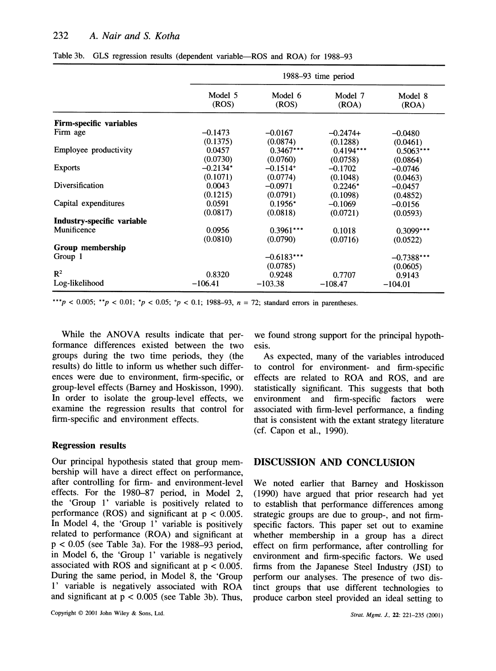# **232 A. Nair and S. Kotha**

|                            | 1988–93 time period |                          |             |                          |  |
|----------------------------|---------------------|--------------------------|-------------|--------------------------|--|
|                            | Model 5             | Model 6                  | Model 7     | Model 8                  |  |
|                            | (ROS)               | (ROS)                    | (ROA)       | (ROA)                    |  |
| Firm-specific variables    |                     |                          |             |                          |  |
| Firm age                   | $-0.1473$           | $-0.0167$                | $-0.2474+$  | $-0.0480$                |  |
|                            | (0.1375)            | (0.0874)                 | (0.1288)    | (0.0461)                 |  |
| Employee productivity      | 0.0457              | $0.3467***$              | $0.4194***$ | $0.5063***$              |  |
|                            | (0.0730)            | (0.0760)                 | (0.0758)    | (0.0864)                 |  |
| <b>Exports</b>             | $-0.2134*$          | $-0.1514^{+}$            | $-0.1702$   | $-0.0746$                |  |
|                            | (0.1071)            | (0.0774)                 | (0.1048)    | (0.0463)                 |  |
| Diversification            | 0.0043              | $-0.0971$                | $0.2246*$   | $-0.0457$                |  |
|                            | (0.1215)            | (0.0791)                 | (0.1098)    | (0.4852)                 |  |
| Capital expenditures       | 0.0591              | $0.1956*$                | $-0.1069$   | $-0.0156$                |  |
|                            | (0.0817)            | (0.0818)                 | (0.0721)    | (0.0593)                 |  |
| Industry-specific variable |                     |                          |             |                          |  |
| Munificence                | 0.0956              | $0.3961***$              | 0.1018      | $0.3099***$              |  |
|                            | (0.0810)            | (0.0790)                 | (0.0716)    | (0.0522)                 |  |
| Group membership           |                     |                          |             |                          |  |
| Group 1                    |                     | $-0.6183***$<br>(0.0785) |             | $-0.7388***$<br>(0.0605) |  |
| $\mathbb{R}^2$             | 0.8320              | 0.9248                   | 0.7707      | 0.9143                   |  |
| Log-likelihood             | $-106.41$           | $-103.38$                | $-108.47$   | $-104.01$                |  |

|  |  | Table 3b. GLS regression results (dependent variable-ROS and ROA) for 1988-93 |  |  |  |
|--|--|-------------------------------------------------------------------------------|--|--|--|
|--|--|-------------------------------------------------------------------------------|--|--|--|

\*\*\*p < 0.005; \*\*p < 0.01; \*p < 0.05; \*p < 0.1; 1988-93,  $n = 72$ ; standard errors in parentheses.

**While the ANOVA results indicate that performance differences existed between the two groups during the two time periods, they (the results) do little to inform us whether such differences were due to environment, firm-specific, or group-level effects (Barney and Hoskisson, 1990). In order to isolate the group-level effects, we examine the regression results that control for firm-specific and environment effects.** 

### **Regression results**

**Our principal hypothesis stated that group membership will have a direct effect on performance, after controlling for firm- and environment-level effects. For the 1980-87 period, in Model 2, the 'Group 1' variable is positively related to performance (ROS) and significant at p < 0.005. In Model 4, the 'Group 1' variable is positively related to performance (ROA) and significant at p < 0.05 (see Table 3a). For the 1988-93 period, in Model 6, the 'Group 1' variable is negatively associated with ROS and significant at p < 0.005. During the same period, in Model 8, the 'Group 1' variable is negatively associated with ROA and significant at p < 0.005 (see Table 3b). Thus,** 

**we found strong support for the principal hypothesis.** 

**As expected, many of the variables introduced to control for environment- and firm-specific effects are related to ROA and ROS, and are statistically significant. This suggests that both environment and firm-specific factors were associated with firm-level performance, a finding that is consistent with the extant strategy literature (cf. Capon et al., 1990).** 

# **DISCUSSION AND CONCLUSION**

**We noted earlier that Barney and Hoskisson (1990) have argued that prior research had yet to establish that performance differences among strategic groups are due to group-, and not firmspecific factors. This paper set out to examine whether membership in a group has a direct effect on firm performance, after controlling for environment and firm-specific factors. We used firms from the Japanese Steel Industry (JSI) to perform our analyses. The presence of two distinct groups that use different technologies to produce carbon steel provided an ideal setting to**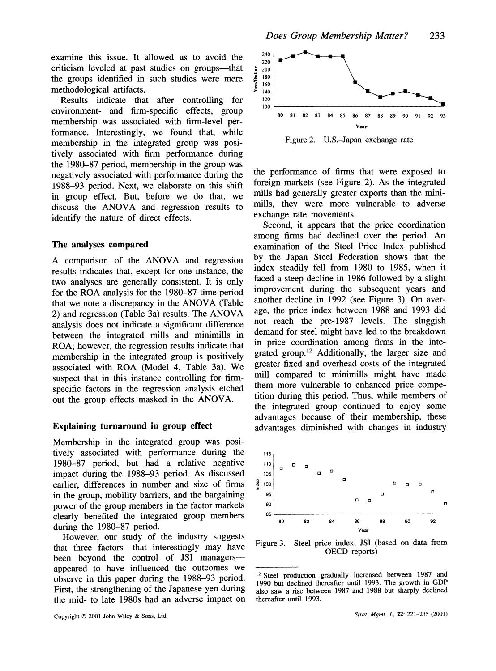**examine this issue. It allowed us to avoid the criticism leveled at past studies on groups-that the groups identified in such studies were mere methodological artifacts.** 

**Results indicate that after controlling for environment- and firm-specific effects, group membership was associated with firm-level performance. Interestingly, we found that, while membership in the integrated group was positively associated with firm performance during the 1980-87 period, membership in the group was negatively associated with performance during the 1988-93 period. Next, we elaborate on this shift in group effect. But, before we do that, we discuss the ANOVA and regression results to identify the nature of direct effects.** 

#### **The analyses compared**

**A comparison of the ANOVA and regression results indicates that, except for one instance, the two analyses are generally consistent. It is only for the ROA analysis for the 1980-87 time period that we note a discrepancy in the ANOVA (Table 2) and regression (Table 3a) results. The ANOVA analysis does not indicate a significant difference between the integrated mills and minimills in ROA; however, the regression results indicate that membership in the integrated group is positively associated with ROA (Model 4, Table 3a). We suspect that in this instance controlling for firmspecific factors in the regression analysis etched out the group effects masked in the ANOVA.** 

## **Explaining turnaround in group effect**

**Membership in the integrated group was positively associated with performance during the 1980-87 period, but had a relative negative impact during the 1988-93 period. As discussed earlier, differences in number and size of firms in the group, mobility barriers, and the bargaining power of the group members in the factor markets clearly benefited the integrated group members during the 1980-87 period.** 

**However, our study of the industry suggests that three factors-that interestingly may have been beyond the control of JSI managersappeared to have influenced the outcomes we observe in this paper during the 1988-93 period. First, the strengthening of the Japanese yen during the mid- to late 1980s had an adverse impact on** 



**Figure 2. U.S.-Japan exchange rate** 

**the performance of firms that were exposed to foreign markets (see Figure 2). As the integrated mills had generally greater exports than the minimills, they were more vulnerable to adverse exchange rate movements.** 

**Second, it appears that the price coordination among firms had declined over the period. An examination of the Steel Price Index published by the Japan Steel Federation shows that the index steadily fell from 1980 to 1985, when it faced a steep decline in 1986 followed by a slight improvement during the subsequent years and another decline in 1992 (see Figure 3). On average, the price index between 1988 and 1993 did not reach the pre-1987 levels. The sluggish demand for steel might have led to the breakdown in price coordination among firms in the integrated group.12 Additionally, the larger size and greater fixed and overhead costs of the integrated mill compared to minimills might have made them more vulnerable to enhanced price competition during this period. Thus, while members of the integrated group continued to enjoy some advantages because of their membership, these advantages diminished with changes in industry** 



**Figure 3. Steel price index, JSI (based on data from OECD reports)** 

**<sup>12</sup>Steel production gradually increased between 1987 and 1990 but declined thereafter until 1993. The growth in GDP also saw a rise between 1987 and 1988 but sharply declined thereafter until 1993.**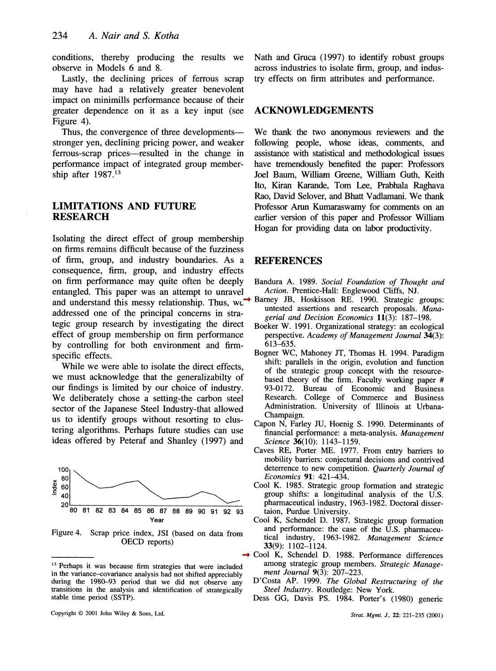**conditions, thereby producing the results we observe in Models 6 and 8.** 

**Lastly, the declining prices of ferrous scrap may have had a relatively greater benevolent impact on minimills performance because of their greater dependence on it as a key input (see Figure 4).** 

Thus, the convergence of three developments **stronger yen, declining pricing power, and weaker ferrous-scrap prices-resulted in the change in performance impact of integrated group membership after 1987.13** 

## **LIMITATIONS AND FUTURE RESEARCH**

**Isolating the direct effect of group membership on firms remains difficult because of the fuzziness of firm, group, and industry boundaries. As a consequence, firm, group, and industry effects on firm performance may quite often be deeply entangled. This paper was an attempt to unravel**  and understand this messy relationship. Thus, we **Barney JB, Hoskisson RE. 1990.** Strategic groups: **addressed one of the principal concerns in strategic group research by investigating the direct effect of group membership on firm performance by controlling for both environment and firmspecific effects.** 

**While we were able to isolate the direct effects, we must acknowledge that the generalizabilty of our findings is limited by our choice of industry. We deliberately chose a setting-the carbon steel sector of the Japanese Steel Industry-that allowed us to identify groups without resorting to clustering algorithms. Perhaps future studies can use ideas offered by Peteraf and Shanley (1997) and** 



**Figure 4. Scrap price index, JSI (based on data from OECD reports)** 

**13 Perhaps it was because firm strategies that were included in the variance-covariance analysis had not shifted appreciably during the 1980-93 period that we did not observe any transitions in the analysis and identification of strategically stable time period (SSTP).** 

**Copyright © 2001 John Wiley & Sons, Ltd.** Strat. Mgmt. J., 22: 221-235 (2001) **Strat. Mgmt. J., 22: 221-235** (2001)

**Nath and Gruca (1997) to identify robust groups across industries to isolate firm, group, and industry effects on firm attributes and performance.** 

## **ACKNOWLEDGEMENTS**

**We thank the two anonymous reviewers and the following people, whose ideas, comments, and assistance with statistical and methodological issues have tremendously benefited the paper: Professors Joel Baum, William Greene, William Guth, Keith Ito, Kiran Karande, Tom Lee, Prabhala Raghava Rao, David Selover, and Bhatt Vadlamani. We thank Professor Arun Kumaraswamy for comments on an earlier version of this paper and Professor William Hogan for providing data on labor productivity.** 

#### **REFERENCES**

- **Bandura A. 1989. Social Foundation of Thought and Action. Prentice-Hall: Englewood Cliffs, NJ.**
- **untested assertions and research proposals. Managerial and Decision Economics 11(3): 187-198.**
- **Boeker W. 1991. Organizational strategy: an ecological perspective. Academy of Management Journal 34(3): 613-635.**
- **Bogner WC, Mahoney JT, Thomas H. 1994. Paradigm shift: parallels in the origin, evolution and function of the strategic group concept with the resourcebased theory of the firm. Faculty working paper #**  93-0172. Bureau of Economic and **Research. College of Commerce and Business Administration. University of Illinois at Urbana-Champaign.**
- **Capon N, Farley JU, Hoenig S. 1990. Determinants of financial performance: a meta-analysis. Management Science 36(10): 1143-1159.**
- **Caves RE, Porter ME. 1977. From entry barriers to mobility barriers: conjectural decisions and contrived deterrence to new competition. Quarterly Journal of Economics 91: 421-434.**
- **Cool K. 1985. Strategic group formation and strategic group shifts: a longitudinal analysis of the U.S. pharmaceutical industry, 1963-1982. Doctoral dissertaion, Purdue University.**
- **Cool K, Schendel D. 1987. Strategic group formation and performance: the case of the U.S. pharmaceutical industry, 1963-1982. Management Science 33(9): 1102-1124.**
- **Cool K, Schendel D. 1988. Performance differences among strategic group members. Strategic Management Journal 9(3): 207-223.** 
	- **D'Costa AP. 1999. The Global Restructuring of the Steel Industry. Routledge: New York.**
	- **Dess GG, Davis PS. 1984. Porter's (1980) generic**